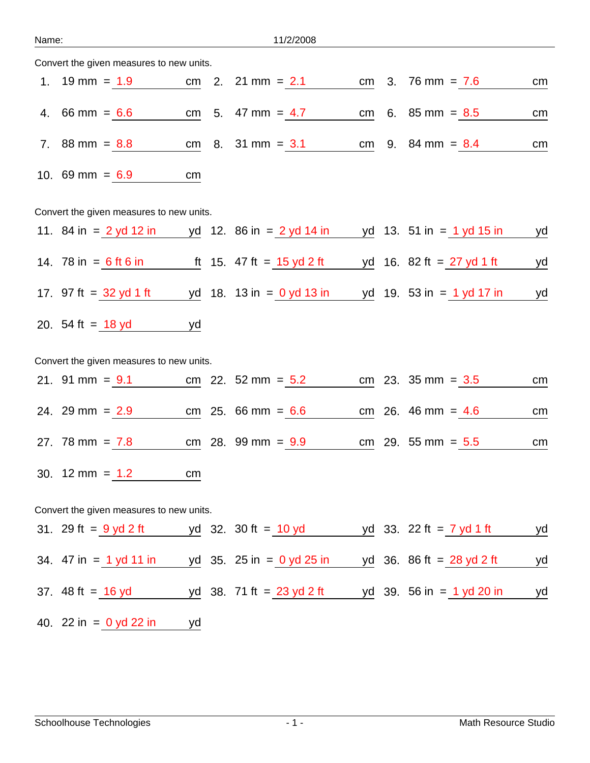| an<br>٠ |
|---------|
|---------|

11/2/2008

| Convert the given measures to new units. |                                                    |           |  |                              |    |  |                                                            |           |  |  |
|------------------------------------------|----------------------------------------------------|-----------|--|------------------------------|----|--|------------------------------------------------------------|-----------|--|--|
|                                          | 1. $19 \text{ mm} = 1.9$                           |           |  | cm 2. $21 \text{ mm} = 2.1$  | cm |  | 3. $76 \text{ mm} = 7.6$                                   | cm        |  |  |
|                                          | 4. 66 mm = $6.6$                                   |           |  | cm 5. 47 mm = $4.7$          | cm |  | 6. $85 \text{ mm} = 8.5$                                   | cm        |  |  |
|                                          | 7. $88 \text{ mm} = 8.8$                           |           |  | cm $8.31 \text{ mm} = 3.1$   | cm |  | 9. $84 \text{ mm} = 8.4$                                   | cm        |  |  |
|                                          | 10. 69 mm = $6.9$                                  | cm        |  |                              |    |  |                                                            |           |  |  |
| Convert the given measures to new units. |                                                    |           |  |                              |    |  |                                                            |           |  |  |
|                                          | 11. $84 \text{ in } = 2 \text{ yd } 12 \text{ in}$ |           |  | yd 12. 86 in $= 2$ yd 14 in  |    |  | yd 13. 51 in $= 1$ yd 15 in                                | <u>yd</u> |  |  |
|                                          | 14. 78 in $= 6$ ft 6 in                            |           |  | ft 15. 47 ft = 15 yd 2 ft    |    |  | <u>yd</u> 16. 82 ft = $\frac{27 \text{ yd}}{1 \text{ ft}}$ | <u>yd</u> |  |  |
|                                          | 17. $97 \text{ ft} = 32 \text{ yd} 1 \text{ ft}$   |           |  | yd 18. 13 in = $0$ yd 13 in  |    |  | yd 19. 53 in $= 1$ yd 17 in                                | yd        |  |  |
|                                          | 20. 54 ft = 18 yd                                  | yd        |  |                              |    |  |                                                            |           |  |  |
| Convert the given measures to new units. |                                                    |           |  |                              |    |  |                                                            |           |  |  |
|                                          | 21. 91 mm = $9.1$                                  |           |  | cm 22. $52 \text{ mm} = 5.2$ |    |  | cm 23. $35 \text{ mm} = 3.5$                               | cm        |  |  |
|                                          | 24. 29 mm = $2.9$                                  |           |  | cm $25.66 \text{ mm} = 6.6$  |    |  | cm 26. 46 mm = $4.6$                                       | cm        |  |  |
|                                          | 27. 78 mm = $7.8$                                  |           |  | cm 28. 99 mm = $9.9$         |    |  | cm 29. 55 mm = $5.5$                                       | cm        |  |  |
|                                          | 30. $12 \text{ mm} = 1.2$                          | cm        |  |                              |    |  |                                                            |           |  |  |
|                                          | Convert the given measures to new units.           |           |  |                              |    |  |                                                            |           |  |  |
|                                          | 31. 29 ft = $\frac{9 \text{ yd 2 ft}}{2}$          |           |  | yd 32. 30 ft = $10$ yd       |    |  | yd 33. 22 ft = $\frac{7 \text{ yd} 1 \text{ ft}}{2}$       | <u>yd</u> |  |  |
|                                          | 34. $47$ in = 1 yd 11 in                           |           |  | yd 35. 25 in = $0$ yd 25 in  |    |  | yd 36. 86 ft = 28 yd 2 ft                                  | <u>yd</u> |  |  |
|                                          | 37. $48 \text{ ft} = 16 \text{ yd}$                |           |  | yd 38. 71 ft = $23$ yd 2 ft  |    |  | yd 39. 56 in $= 1$ yd 20 in                                | yd        |  |  |
|                                          | 40. 22 in = $0$ yd 22 in                           | <u>yd</u> |  |                              |    |  |                                                            |           |  |  |